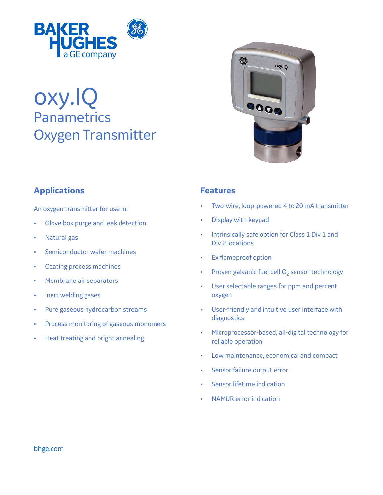

# oxy.IQ **Panametrics** Oxygen Transmitter

## **Applications**

An oxygen transmitter for use in:

- Glove box purge and leak detection
- Natural gas
- Semiconductor wafer machines
- Coating process machines
- Membrane air separators
- Inert welding gases
- Pure gaseous hydrocarbon streams
- Process monitoring of gaseous monomers
- Heat treating and bright annealing



### **Features**

- Two-wire, loop-powered 4 to 20 mA transmitter
- Display with keypad
- Intrinsically safe option for Class 1 Div 1 and Div 2 locations
- Ex flameproof option
- Proven galvanic fuel cell  $O<sub>2</sub>$  sensor technology
- User selectable ranges for ppm and percent oxygen
- User-friendly and intuitive user interface with diagnostics
- Microprocessor-based, all-digital technology for reliable operation
- Low maintenance, economical and compact
- Sensor failure output error
- Sensor lifetime indication
- NAMUR error indication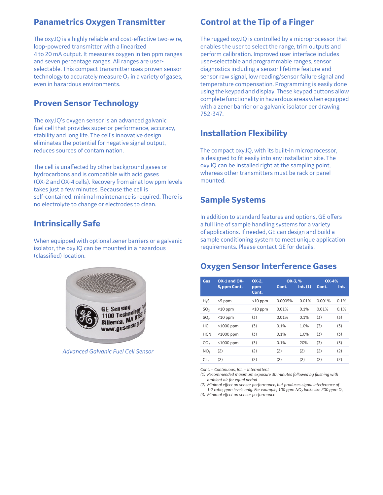## **Panametrics Oxygen Transmitter**

The oxy.IQ is a highly reliable and cost-effective two-wire, loop-powered transmitter with a linearized 4 to 20 mA output. It measures oxygen in ten ppm ranges and seven percentage ranges. All ranges are userselectable. This compact transmitter uses proven sensor technology to accurately measure  $O<sub>2</sub>$  in a variety of gases, even in hazardous environments.

## **Proven Sensor Technology**

The oxy.IQ's oxygen sensor is an advanced galvanic fuel cell that provides superior performance, accuracy, stability and long life. The cell's innovative design eliminates the potential for negative signal output, reduces sources of contamination.

The cell is unaffected by other background gases or hydrocarbons and is compatible with acid gases (OX-2 and OX-4 cells). Recovery from air at low ppm levels takes just a few minutes. Because the cell is self-contained, minimal maintenance is required. There is no electrolyte to change or electrodes to clean.

## **Intrinsically Safe**

When equipped with optional zener barriers or a galvanic isolator, the oxy.IQ can be mounted in a hazardous (classified) location.



*Advanced Galvanic Fuel Cell Sensor*

## **Control at the Tip of a Finger**

The rugged oxy.IQ is controlled by a microprocessor that enables the user to select the range, trim outputs and perform calibration. Improved user interface includes user-selectable and programmable ranges, sensor diagnostics including a sensor lifetime feature and sensor raw signal, low reading/sensor failure signal and temperature compensation. Programming is easily done using the keypad and display. These keypad buttons allow complete functionality in hazardous areas when equipped with a zener barrier or a galvanic isolator per drawing 752-347.

## **Installation Flexibility**

The compact oxy.IQ, with its built-in microprocessor, is designed to fit easily into any installation site. The oxy.IQ can be installed right at the sampling point, whereas other transmitters must be rack or panel mounted.

### **Sample Systems**

In addition to standard features and options, GE offers a full line of sample handling systems for a variety of applications. If needed, GE can design and build a sample conditioning system to meet unique application requirements. Please contact GE for details.

### **Oxygen Sensor Interference Gases**

| Gas             | $OX-1$ and $OX-$ | OX-2,        | OX-3, %<br>Int. (1)<br>Cont. |       | <b>OX-4%</b><br>Cont.<br>Int. |      |
|-----------------|------------------|--------------|------------------------------|-------|-------------------------------|------|
|                 | 5, ppm Cont.     | ppm<br>Cont. |                              |       |                               |      |
| $H_{2}S$        | <5 ppm           | $<$ 10 ppm   | 0.0005%                      | 0.01% | 0.001%                        | 0.1% |
| SO <sub>z</sub> | $<$ 10 ppm       | $<$ 10 ppm   | 0.01%                        | 0.1%  | 0.01%                         | 0.1% |
| SO <sub>2</sub> | $<$ 10 ppm       | (3)          | 0.01%                        | 0.1%  | (3)                           | (3)  |
| HCI             | <1000 ppm        | (3)          | 0.1%                         | 1.0%  | (3)                           | (3)  |
| <b>HCN</b>      | $<$ 1000 ppm     | (3)          | 0.1%                         | 1.0%  | (3)                           | (3)  |
| CO <sub>2</sub> | <1000 ppm        | (3)          | 0.1%                         | 20%   | (3)                           | (3)  |
| NO <sub>2</sub> | (2)              | (2)          | (2)                          | (2)   | (2)                           | (2)  |
| CL,             | (2)              | (2)          | (2)                          | (2)   | (2)                           | (2)  |

*Cont. = Continuous, Int. = Intermittent*

*(1) Recommended maximum exposure 30 minutes followed by flushing with ambient air for equal period*

*(2) Minimal effect on sensor performance, but produces signal interference of 1:2 ratio, ppm levels only. For example, 100 ppm NO2 looks like 200 ppm O2*

*(3) Minimal effect on sensor performance*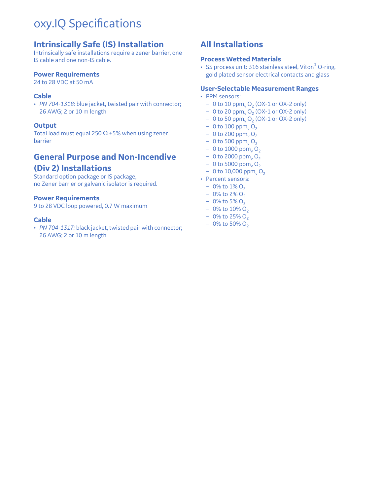## oxy.IQ Specifications

## **Intrinsically Safe (IS) Installation**

Intrinsically safe installations require a zener barrier, one IS cable and one non-IS cable.

#### **Power Requirements**

24 to 28 VDC at 50 mA

### **Cable**

• *PN 704-1318:* blue jacket, twisted pair with connector; 26 AWG; 2 or 10 m length

### **Output**

Total load must equal 250  $\Omega$  ±5% when using zener barrier

## **General Purpose and Non-Incendive (Div 2) Installations**

Standard option package or IS package, no Zener barrier or galvanic isolator is required.

#### **Power Requirements**

9 to 28 VDC loop powered, 0.7 W maximum

#### **Cable**

• *PN 704-1317:* black jacket, twisted pair with connector; 26 AWG; 2 or 10 m length

## **All Installations**

### **Process Wetted Materials**

• SS process unit: 316 stainless steel, Viton<sup>®</sup> O-ring, gold plated sensor electrical contacts and glass

#### **User-Selectable Measurement Ranges**

- PPM sensors:
	- 0 to 10 ppm<sub>v</sub>  $O_2$  (OX-1 or OX-2 only)
	- 0 to 20 ppm<sub>v</sub>  $O_2$  (OX-1 or OX-2 only)
	- 0 to 50 ppm<sub>v</sub>  $O_2$  (OX-1 or OX-2 only)
	- 0 to 100 ppm<sub>v</sub>  $O_2$
	- 0 to 200 ppm<sub>v</sub>  $O_2$
	- 0 to 500 ppm<sub>v</sub>  $O_2$
	- 0 to 1000 ppm<sub>v</sub>  $O_2$
	- $-0$  to 2000 ppm, O<sub>2</sub>
	- 0 to 5000 ppm,  $O_2$
	- $-$  0 to 10,000 ppm<sub>v</sub> O<sub>2</sub>
- Percent sensors:
	- $-0\%$  to  $1\%$  O<sub>2</sub>
	- $-0\%$  to 2% O<sub>2</sub>
	- $-$  0% to 5% O<sub>2</sub>
	- 0% to  $10\%$  O<sub>2</sub>
	- $-0\%$  to 25% O<sub>2</sub>
	- 0% to 50%  $O_2$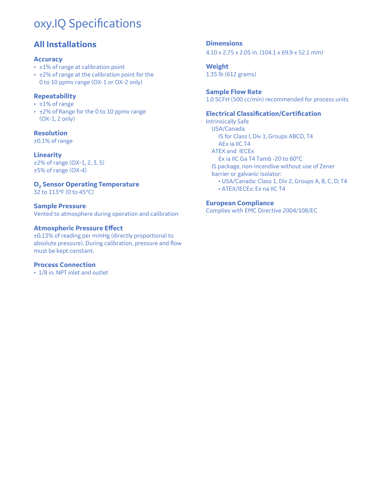## oxy.IQ Specifications

## **All Installations**

### **Accuracy**

- ±1% of range at calibration point
- ±2% of range at the calibration point for the 0 to 10 ppmv range (OX-1 or OX-2 only)

### **Repeatability**

- ±1% of range
- ±2% of Range for the 0 to 10 ppmv range (OX-1, 2 only)

### **Resolution**

±0.1% of range

### **Linearity**

±2% of range (OX-1, 2, 3, 5) ±5% of range (OX-4)

### **O<sub>2</sub> Sensor Operating Temperature**

32 to 113°F (0 to 45°C)

### **Sample Pressure**

Vented to atmosphere during operation and calibration

### **Atmospheric Pressure Effect**

±0.13% of reading per mmHg (directly proportional to absolute pressure). During calibration, pressure and flow must be kept constant.

### **Process Connection**

• 1/8 in. NPT inlet and outlet

#### **Dimensions** 4.10 x 2.75 x 2.05 in. (104.1 x 69.9 x 52.1 mm)

**Weight** 1.35 lb (612 grams)

## **Sample Flow Rate**

1.0 SCFH (500 cc/min) recommended for process units

### **Electrical Classification/Certification**

Intrinsically Safe USA/Canada IS for Class I, Div 1, Groups ABCD, T4 AEx ia IIC T4 ATEX and IECEx Ex ia IIC Ga T4 Tamb -20 to 60°C IS package, non-incendive without use of Zener barrier or galvanic isolator: • USA/Canada: Class 1, Div 2, Groups A, B, C, D; T4 • ATEX/IECEx: Ex na IIC T4

### **European Compliance**

Complies with EMC Directive 2004/108/EC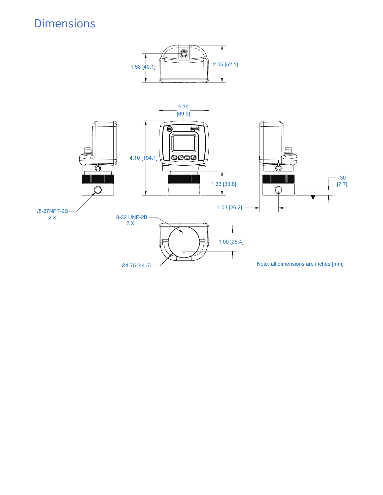## Dimensions

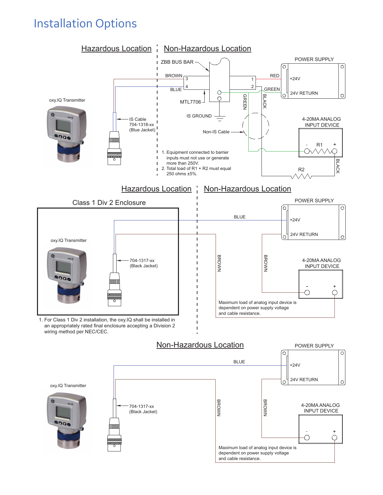## Installation Options

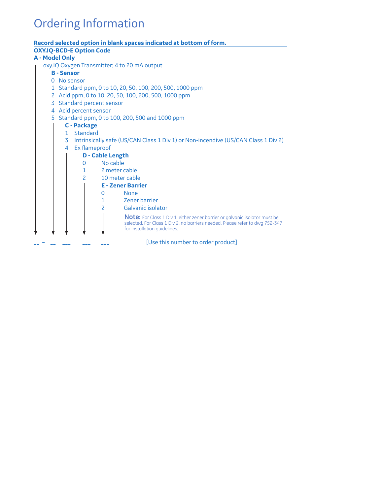## Ordering Information

### **Record selected option in blank spaces indicated at bottom of form. OXY.IQ-BCD-E Option Code A - Model Only** oxy.IQ Oxygen Transmitter; 4 to 20 mA output **B - Sensor** 0 No sensor 1 Standard ppm, 0 to 10, 20, 50, 100, 200, 500, 1000 ppm 2 Acid ppm, 0 to 10, 20, 50, 100, 200, 500, 1000 ppm 3 Standard percent sensor 4 Acid percent sensor 5 Standard ppm, 0 to 100, 200, 500 and 1000 ppm **C - Package** 1 Standard 3 Intrinsically safe (US/CAN Class 1 Div 1) or Non-incendive (US/CAN Class 1 Div 2) 4 Ex flameproof **D - Cable Length** 0 No cable 1 2 meter cable 2 10 meter cable **E - Zener Barrier** 0 None 1 Zener barrier 2 Galvanic isolator [Use this number to order product] **Note:** For Class 1 Div 1, either zener barrier or galvanic isolator must be selected. For Class 1 Div 2, no barriers needed. Please refer to dwg 752-347 for installation guidelines.